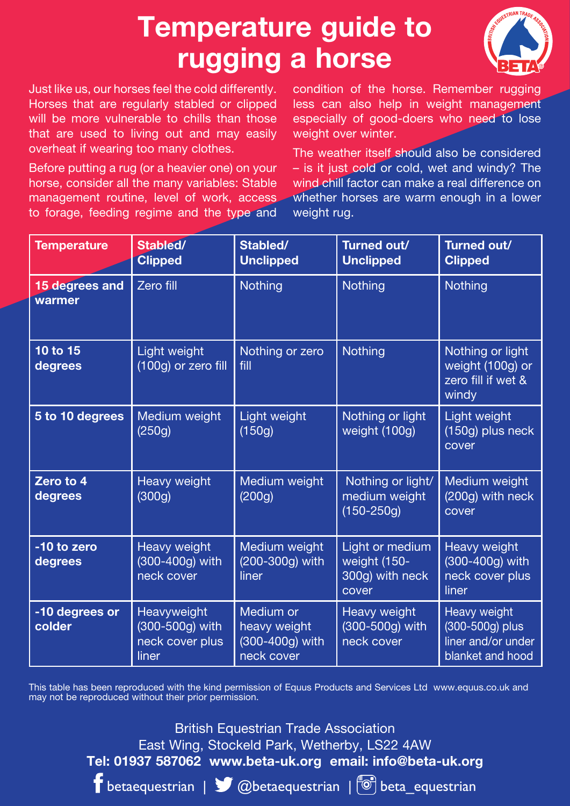## **Temperature guide to rugging a horse**

Just like us, our horses feel the cold differently. Horses that are regularly stabled or clipped will be more vulnerable to chills than those that are used to living out and may easily overheat if wearing too many clothes.

Before putting a rug (or a heavier one) on your horse, consider all the many variables: Stable management routine, level of work, access, to forage, feeding regime and the type and

condition of the horse. Remember rugging less can also help in weight management especially of good-doers who need to lose weight over winter.

The weather itself should also be considered – is it just cold or cold, wet and windy? The wind chill factor can make a real difference on whether horses are warm enough in a lower weight rug.

| <b>Temperature</b>       | Stabled/<br><b>Clipped</b>                                 | Stabled/<br><b>Unclipped</b>                               | Turned out/<br><b>Unclipped</b>                             | Turned out/<br><b>Clipped</b>                                             |
|--------------------------|------------------------------------------------------------|------------------------------------------------------------|-------------------------------------------------------------|---------------------------------------------------------------------------|
| 15 degrees and<br>warmer | Zero fill                                                  | Nothing                                                    | Nothing                                                     | Nothing                                                                   |
| 10 to 15<br>degrees      | Light weight<br>(100g) or zero fill                        | Nothing or zero<br>fill                                    | Nothing                                                     | Nothing or light<br>weight (100g) or<br>zero fill if wet &<br>windy       |
| 5 to 10 degrees          | Medium weight<br>(250q)                                    | Light weight<br>(150g)                                     | Nothing or light<br>weight (100g)                           | Light weight<br>(150g) plus neck<br>cover                                 |
| Zero to 4<br>degrees     | <b>Heavy weight</b><br>(300q)                              | Medium weight<br>(200q)                                    | Nothing or light/<br>medium weight<br>$(150 - 250g)$        | Medium weight<br>(200g) with neck<br>cover                                |
| -10 to zero<br>degrees   | Heavy weight<br>(300-400g) with<br>neck cover              | Medium weight<br>(200-300g) with<br>liner                  | Light or medium<br>weight (150-<br>300g) with neck<br>cover | Heavy weight<br>(300-400g) with<br>neck cover plus<br>liner               |
| -10 degrees or<br>colder | Heavyweight<br>(300-500g) with<br>neck cover plus<br>liner | Medium or<br>heavy weight<br>(300-400g) with<br>neck cover | Heavy weight<br>(300-500g) with<br>neck cover               | Heavy weight<br>(300-500g) plus<br>liner and/or under<br>blanket and hood |

This table has been reproduced with the kind permission of Equus Products and Services Ltd www.equus.co.uk and may not be reproduced without their prior permission.

> British Equestrian Trade Association East Wing, Stockeld Park, Wetherby, LS22 4AW **Tel: 01937 587062 www.beta-uk.org email: info@beta-uk.org**

 $\Gamma$  betaequestrian |  $\sqrt{\Omega}$  @betaequestrian |  $\sqrt{\Omega}$  beta\_equestrian